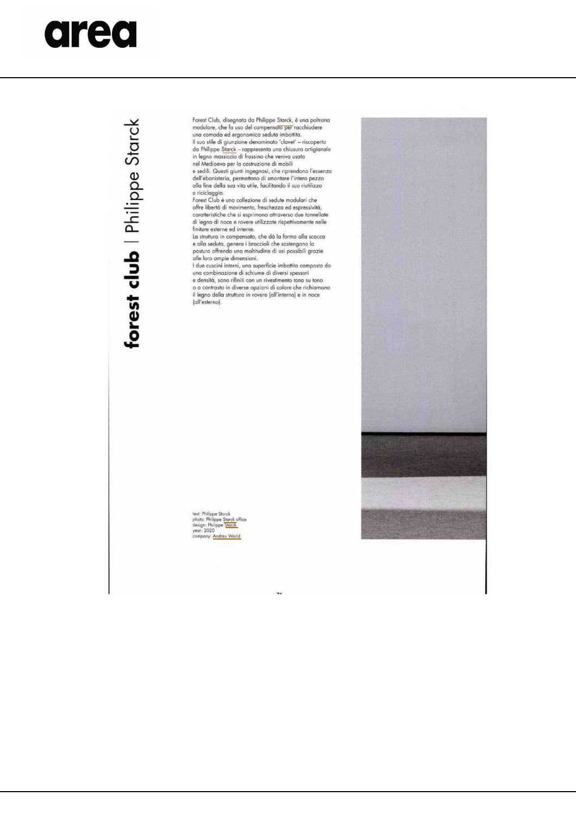## area

forest club | Philippe Starck

Forest Club, disegnatada Philippe Starck,è una poltrona modulare,che fa usodel compensatoper racchiudere

Il suo stile di giunzione denominato 'clavet' - riscoperto Il suo sille di giunzione denominato' clavet' - riscoperio<br>da Philippe Starck - rappresenta una chiusura artigianale in legno massiccio di frassino che veniva

nel Medioevo per la costruzione di mobili<br>e sedili. Questi giunti ingegnosi, che riprendono l'essenza<br>dell'ebanisteria, permettono di smontare l'intero pezzo alla fine dellasuavita utile, facilitando il suo riutilizzo e riciclaggio.

offre libertà di movimento, freschezza ed espressività, caratteristiche che si esprimono attraverso due tonnellate caratteristiche che si esprimono attraverso due tonnellate<br>di legno di noce e rovere utilizzate rispettivamente nelle finiture esterne ed interne.<br>finiture esterne ed interne.<br>La struttura in compensato, che dà la forma alla scocca

ca struttura in compensato, che ad ia forma alla scocca<br>e alla seduta, genera i braccioli che sostengono la<br>postura offrendo una moltitudine di usi possibili grazie

alle loro ampie dimensioni. I due cusciniinterni, una superficieimbottitacompostada e densità, sono rifiniti con un rivestimento tono su tono e densità,sono rifiniti con un rivestimentotonosutono <sup>o</sup> a contrastoin diverseopzioni di coloreche richiamano il legno della strutturain rovere(all'interno)ein noce (all'esterno).

text: Philippe Starck office<br>photo: Philippe Starck office<br>design: Philippe <mark>Starck</mark><br>year: 2020<br>company: <u>Andreu World</u>

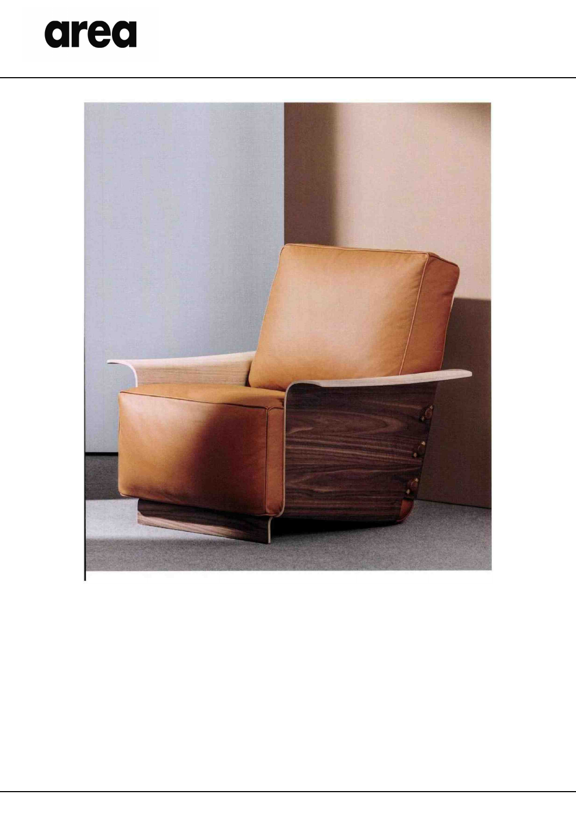

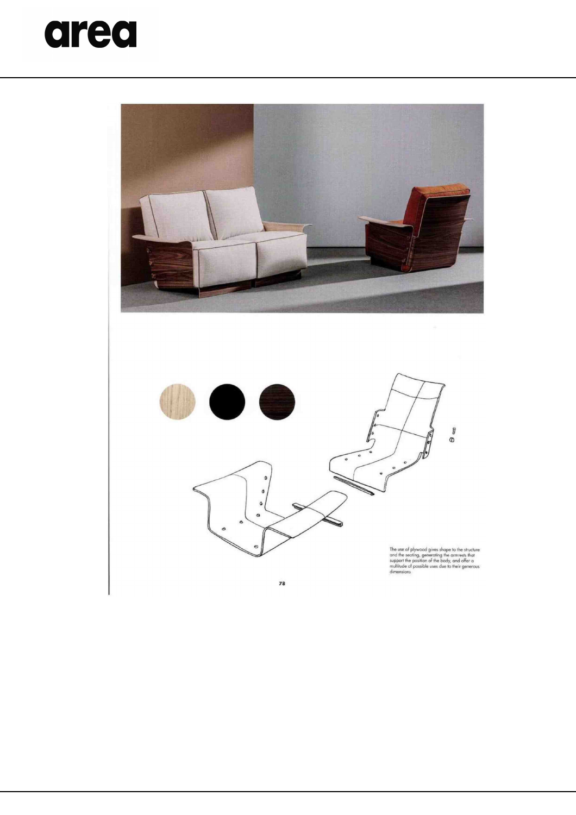